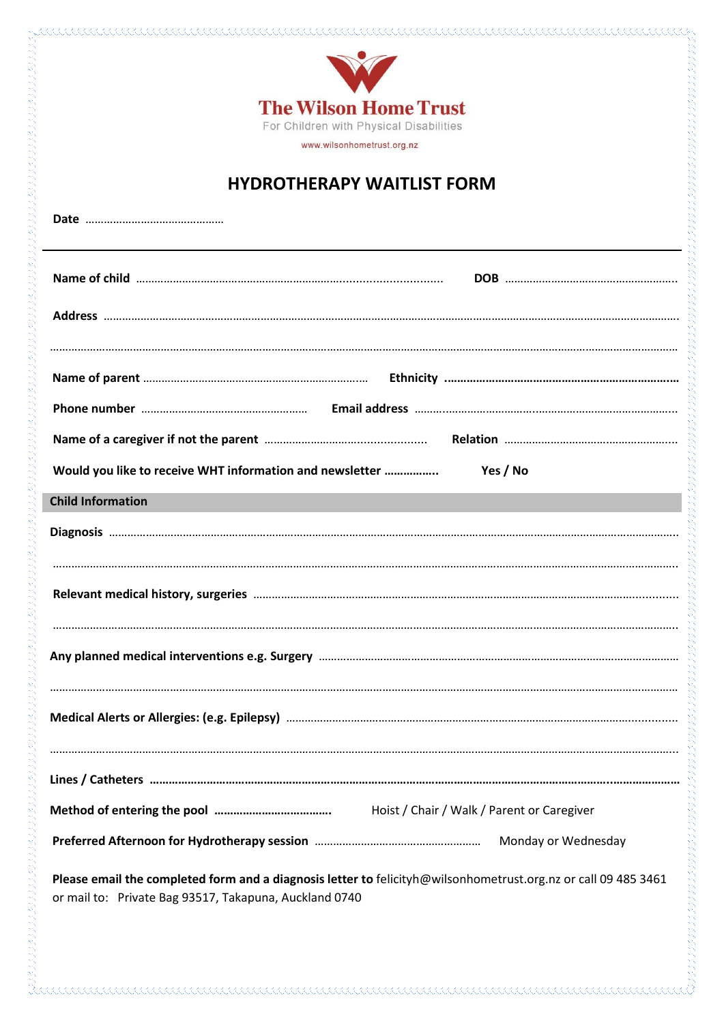

## **HYDROTHERAPY WAITLIST FORM**

| Would you like to receive WHT information and newsletter                                                       | Yes / No                                   |
|----------------------------------------------------------------------------------------------------------------|--------------------------------------------|
| <b>Child Information</b>                                                                                       |                                            |
|                                                                                                                |                                            |
|                                                                                                                |                                            |
|                                                                                                                |                                            |
|                                                                                                                |                                            |
|                                                                                                                |                                            |
|                                                                                                                |                                            |
|                                                                                                                |                                            |
|                                                                                                                |                                            |
|                                                                                                                |                                            |
|                                                                                                                | Hoist / Chair / Walk / Parent or Caregiver |
|                                                                                                                | Monday or Wednesday                        |
| Please email the completed form and a diagnosis letter to felicityh@wilsonhometrust.org.nz or call 09 485 3461 |                                            |

or mail to: Private Bag 93517, Takapuna, Auckland 0740